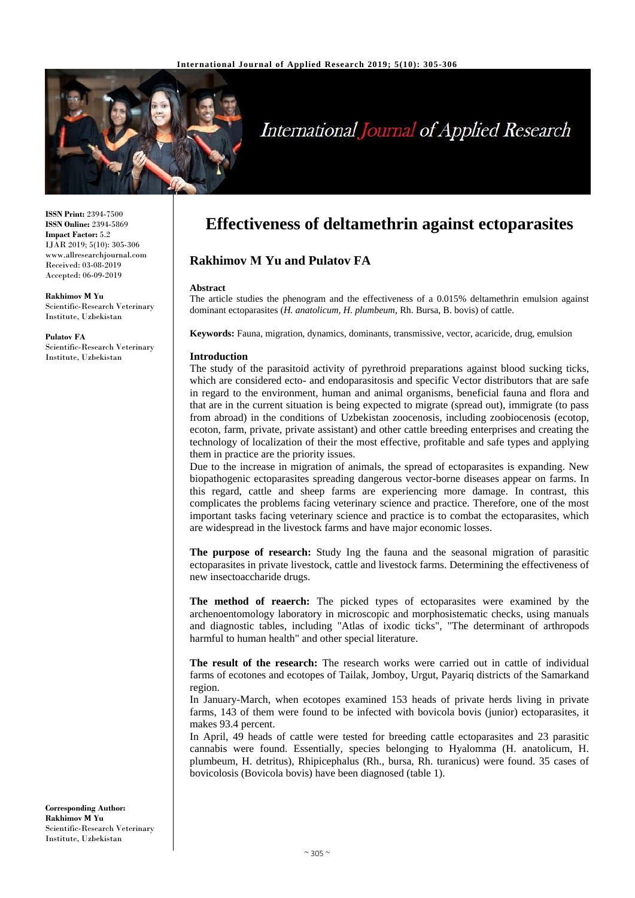

# **International Journal of Applied Research**

**ISSN Print:** 2394-7500 **ISSN Online:** 2394-5869 **Impact Factor:** 5.2 IJAR 2019; 5(10): 305-306 www.allresearchjournal.com Received: 03-08-2019 Accepted: 06-09-2019

**Rakhimov М Yu** Scientific-Research Veterinary Institute, Uzbekistan

**Pulatov FA** Scientific-Research Veterinary Institute, Uzbekistan

# **Effectiveness of deltamethrin against ectoparasites**

**Rakhimov М Yu and Pulatov FA**

#### **Abstract**

The article studies the phenogram and the effectiveness of a 0.015% deltamethrin emulsion against dominant ectoparasites (*H. anatolicum, H. plumbeum*, Rh. Bursa, B. bovis) of cattle.

**Keywords:** Fauna, migration, dynamics, dominants, transmissive, vector, acaricide, drug, emulsion

#### **Introduction**

The study of the parasitoid activity of pyrethroid preparations against blood sucking ticks, which are considered ecto- and endoparasitosis and specific Vector distributors that are safe in regard to the environment, human and animal organisms, beneficial fauna and flora and that are in the current situation is being expected to migrate (spread out), immigrate (to pass from abroad) in the conditions of Uzbekistan zoocenosis, including zoobiocenosis (ecotop, ecoton, farm, private, private assistant) and other cattle breeding enterprises and creating the technology of localization of their the most effective, profitable and safe types and applying them in practice are the priority issues.

Due to the increase in migration of animals, the spread of ectoparasites is expanding. New biopathogenic ectoparasites spreading dangerous vector-borne diseases appear on farms. In this regard, cattle and sheep farms are experiencing more damage. In contrast, this complicates the problems facing veterinary science and practice. Therefore, one of the most important tasks facing veterinary science and practice is to combat the ectoparasites, which are widespread in the livestock farms and have major economic losses.

**The purpose of research:** Study Ing the fauna and the seasonal migration of parasitic ectoparasites in private livestock, cattle and livestock farms. Determining the effectiveness of new insectoaccharide drugs.

**The method of reaerch:** The picked types of ectoparasites were examined by the archenoentomology laboratory in microscopic and morphosistematic checks, using manuals and diagnostic tables, including "Atlas of ixodic ticks", "The determinant of arthropods harmful to human health" and other special literature.

**The result of the research:** The research works were carried out in cattle of individual farms of ecotones and ecotopes of Tailak, Jomboy, Urgut, Payariq districts of the Samarkand region.

In January-March, when ecotopes examined 153 heads of private herds living in private farms, 143 of them were found to be infected with bovicola bovis (junior) ectoparasites, it makes 93.4 percent.

In April, 49 heads of cattle were tested for breeding cattle ectoparasites and 23 parasitic cannabis were found. Essentially, species belonging to Hyalomma (H. anatolicum, H. plumbeum, H. detritus), Rhipicephalus (Rh., bursa, Rh. turanicus) were found. 35 cases of bovicolosis (Bovicola bovis) have been diagnosed (table 1).

**Corresponding Author: Rakhimov М Yu** Scientific-Research Veterinary Institute, Uzbekistan